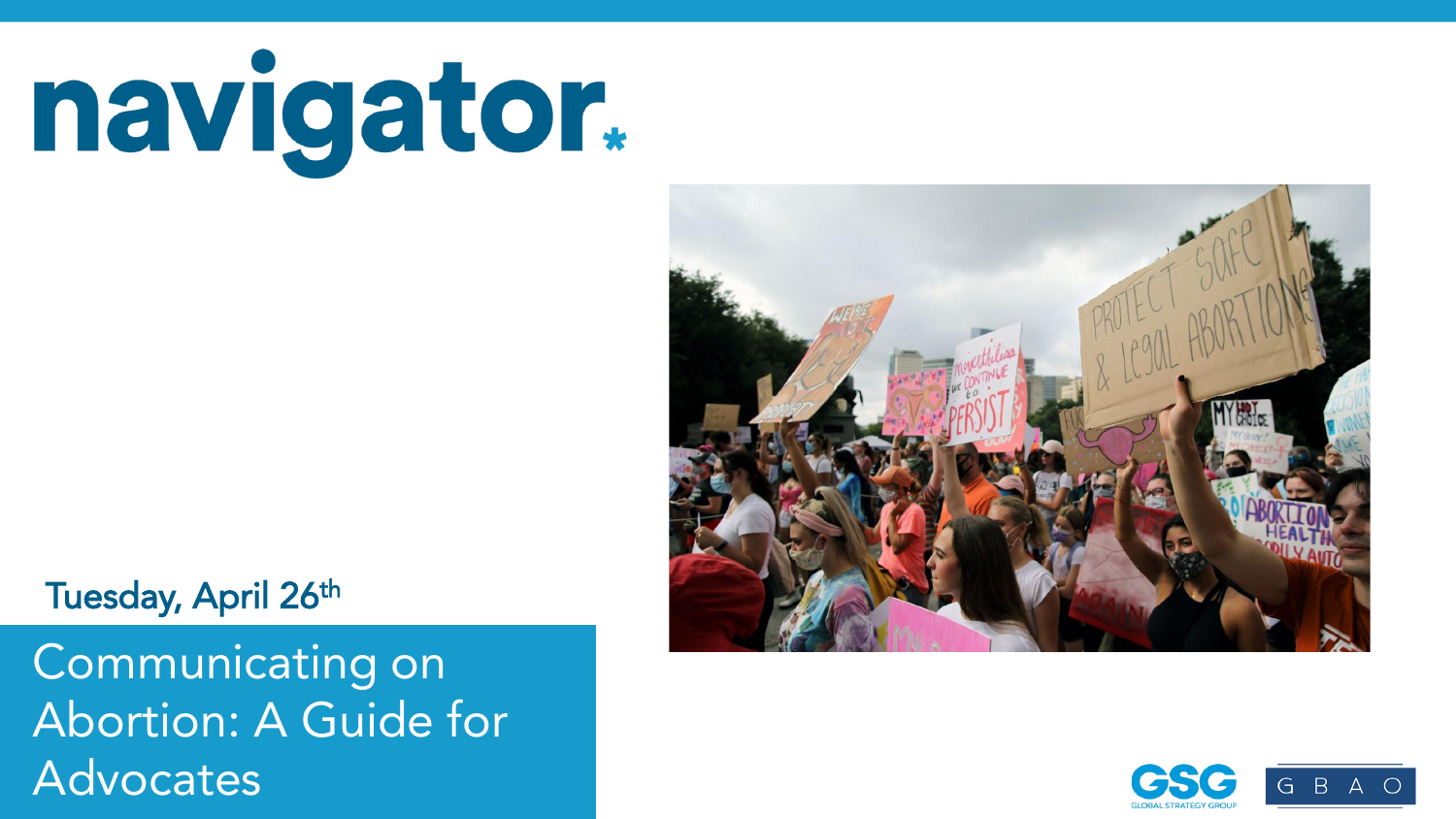navigator.



#### Tuesday, April 26th

Abortion: A Guide for the prior taken wave represents a prior to the prior three-Latest wave conducted April 14-April 18, 2022. For more info, visit navigatorresearch.org Advocates Communicating on

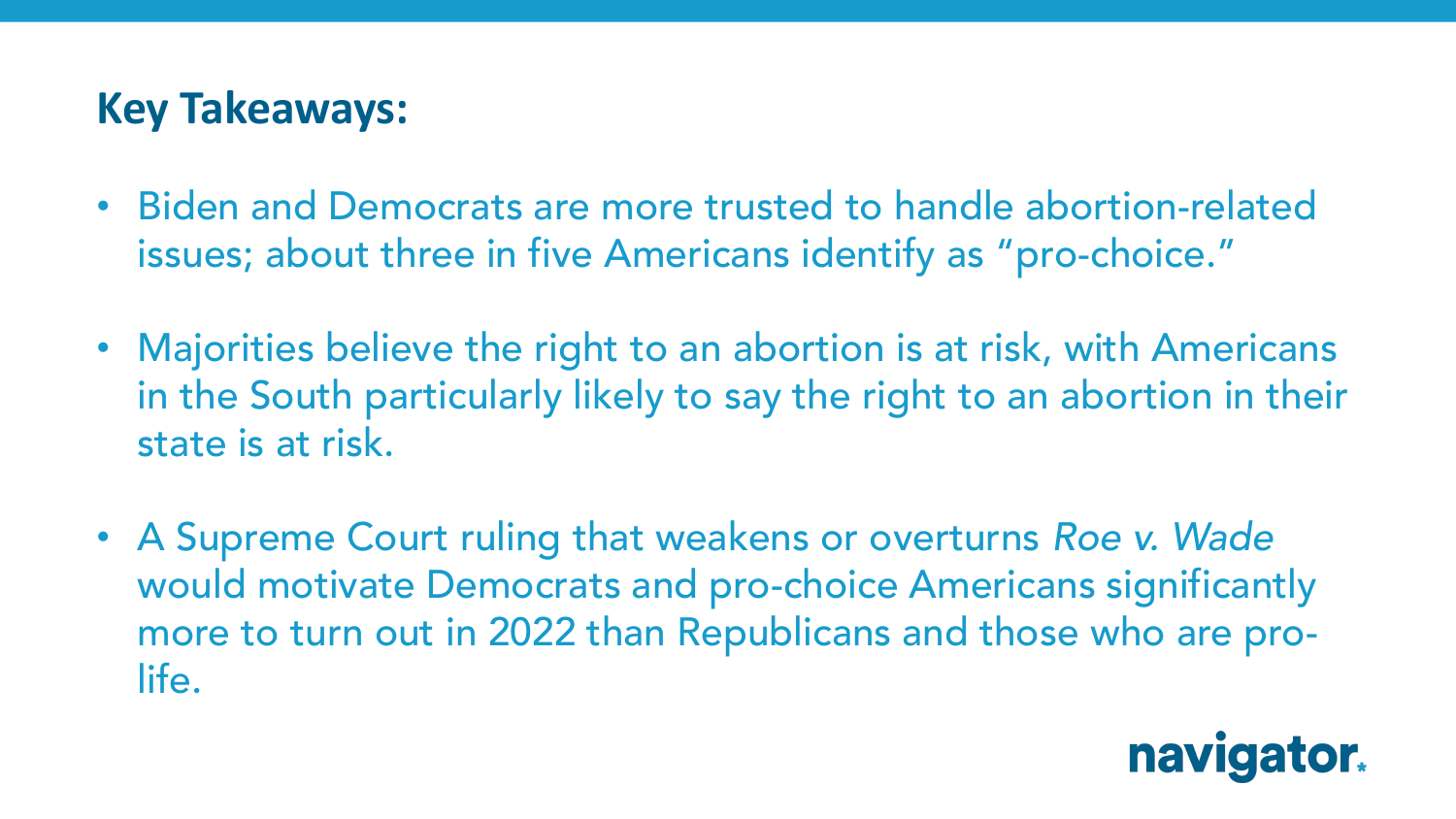#### **Key Takeaways:**

- Biden and Democrats are more trusted to handle abortion-related issues; about three in five Americans identify as "pro-choice."
- Majorities believe the right to an abortion is at risk, with Americans in the South particularly likely to say the right to an abortion in their state is at risk.
- A Supreme Court ruling that weakens or overturns *Roe v. Wade* would motivate Democrats and pro-choice Americans significantly more to turn out in 2022 than Republicans and those who are prolife.

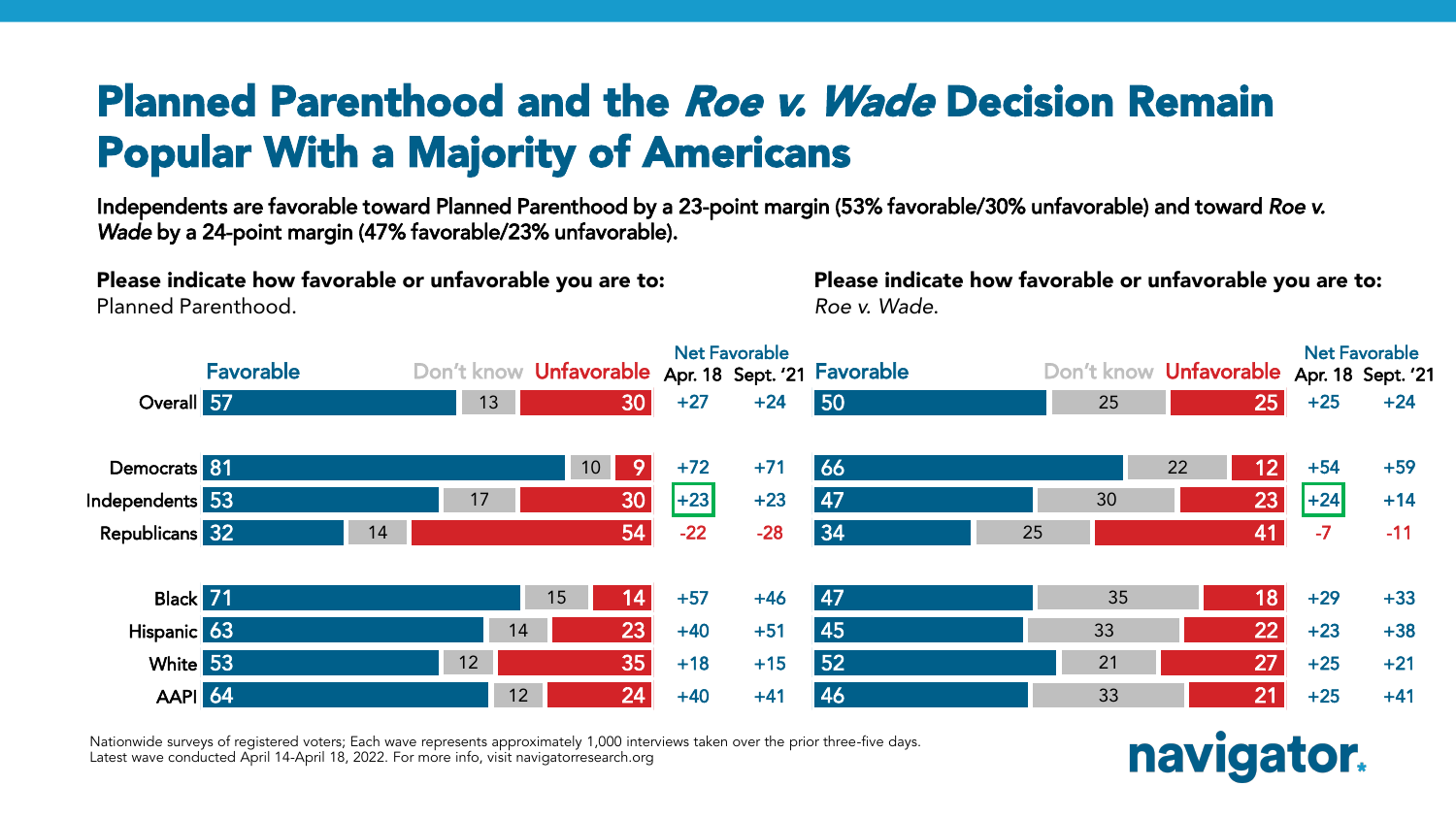## Planned Parenthood and the Roe v. Wade Decision Remain Popular With a Majority of Americans

Independents are favorable toward Planned Parenthood by a 23-point margin (53% favorable/30% unfavorable) and toward *Roe v. Wade* by a 24-point margin (47% favorable/23% unfavorable).

Please indicate how favorable or unfavorable you are to:

Planned Parenthood.

Please indicate how favorable or unfavorable you are to: *Roe v. Wade*.



Nationwide surveys of registered voters; Each wave represents approximately 1,000 interviews taken over the prior three-five days. Latest wave conducted April 14-April 18, 2022. For more info, visit navigatorresearch.org

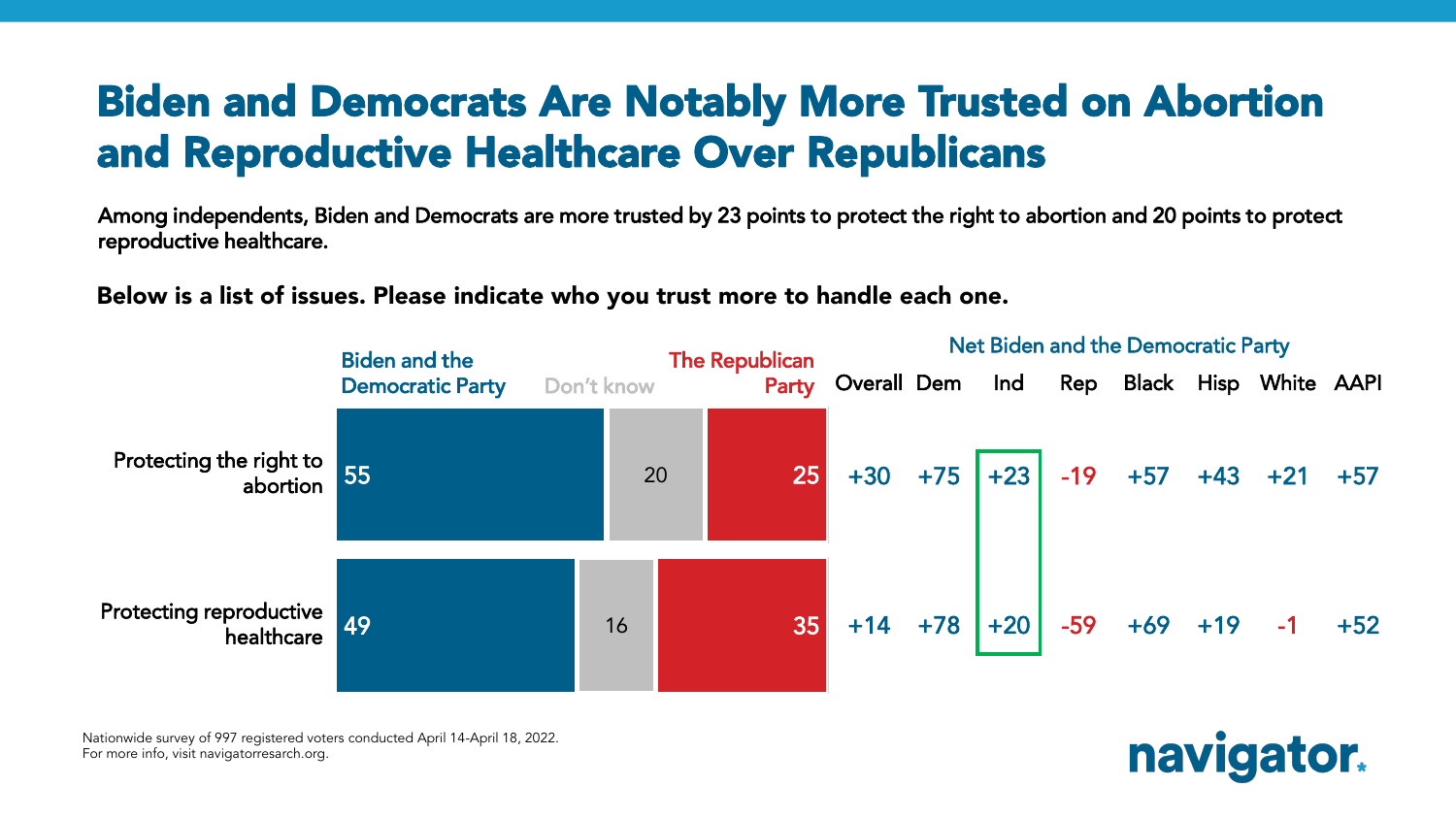### Biden and Democrats Are Notably More Trusted on Abortion and Reproductive Healthcare Over Republicans

Among independents, Biden and Democrats are more trusted by 23 points to protect the right to abortion and 20 points to protect reproductive healthcare.

Below is a list of issues. Please indicate who you trust more to handle each one.



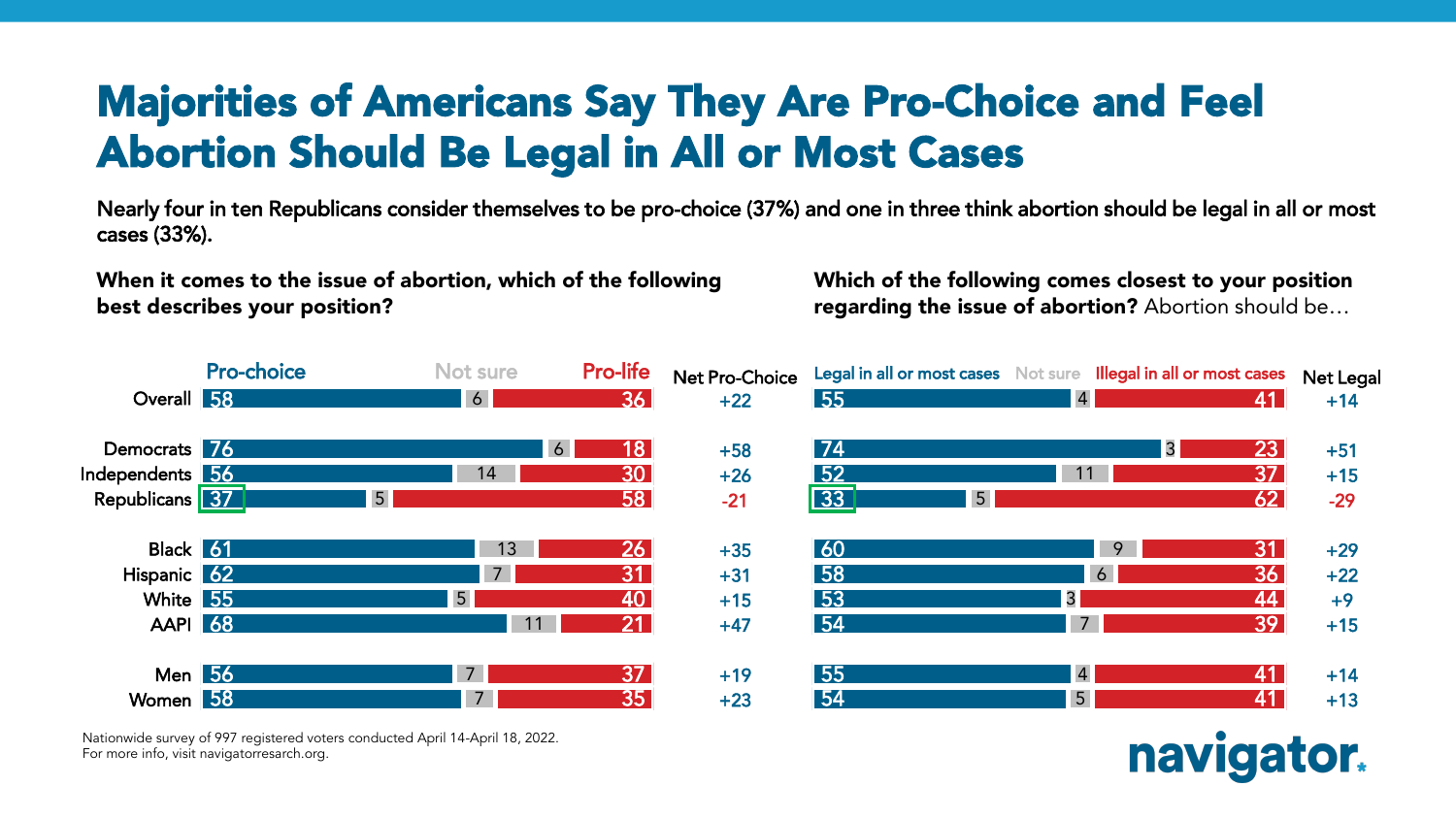## Majorities of Americans Say They Are Pro-Choice and Feel Abortion Should Be Legal in All or Most Cases

Nearly four in ten Republicans consider themselves to be pro-choice (37%) and one in three think abortion should be legal in all or most cases (33%).

When it comes to the issue of abortion, which of the following best describes your position?

Which of the following comes closest to your position regarding the issue of abortion? Abortion should be…



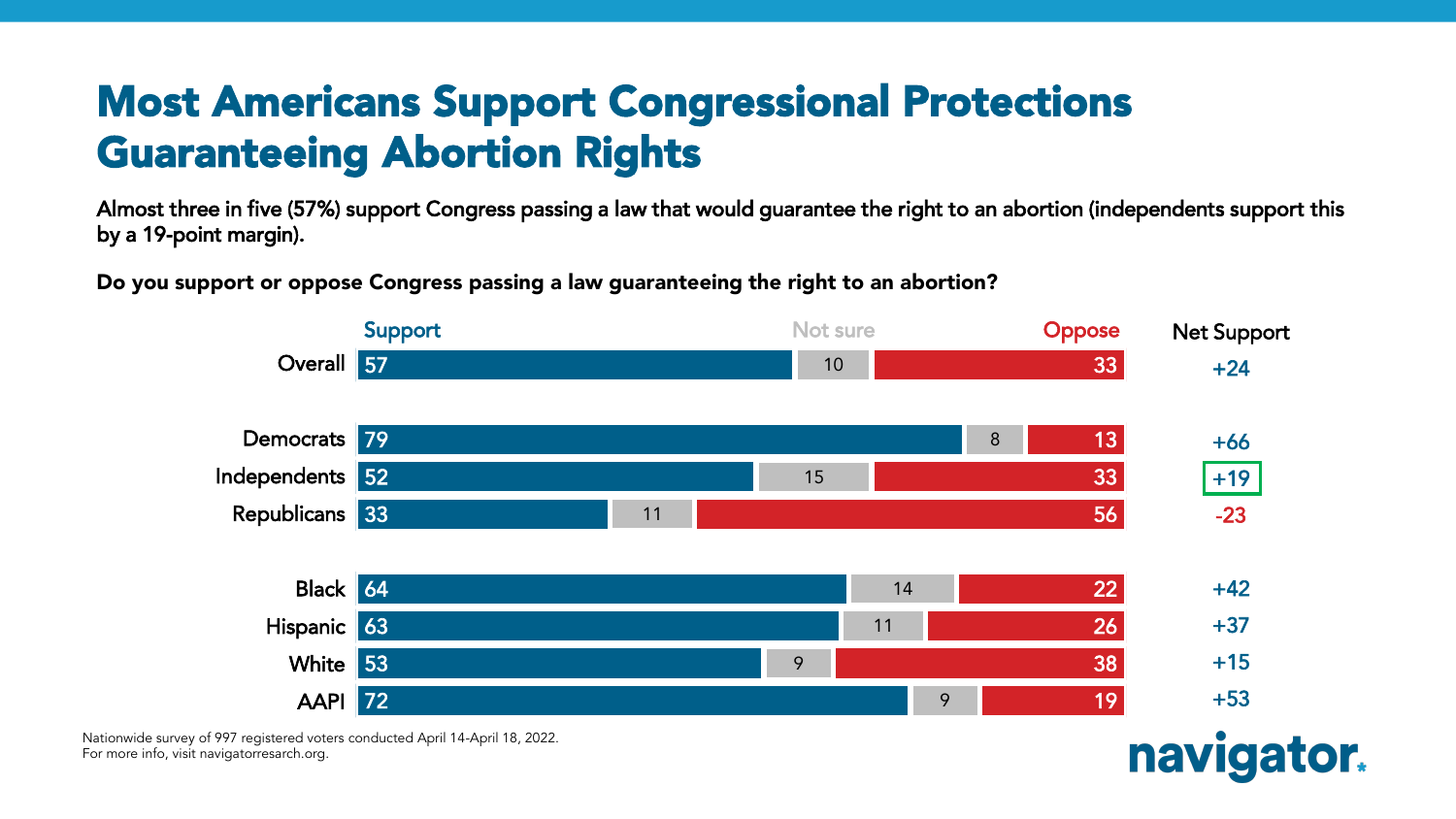## Most Americans Support Congressional Protections Guaranteeing Abortion Rights

Almost three in five (57%) support Congress passing a law that would guarantee the right to an abortion (independents support this by a 19-point margin).

Do you support or oppose Congress passing a law guaranteeing the right to an abortion?



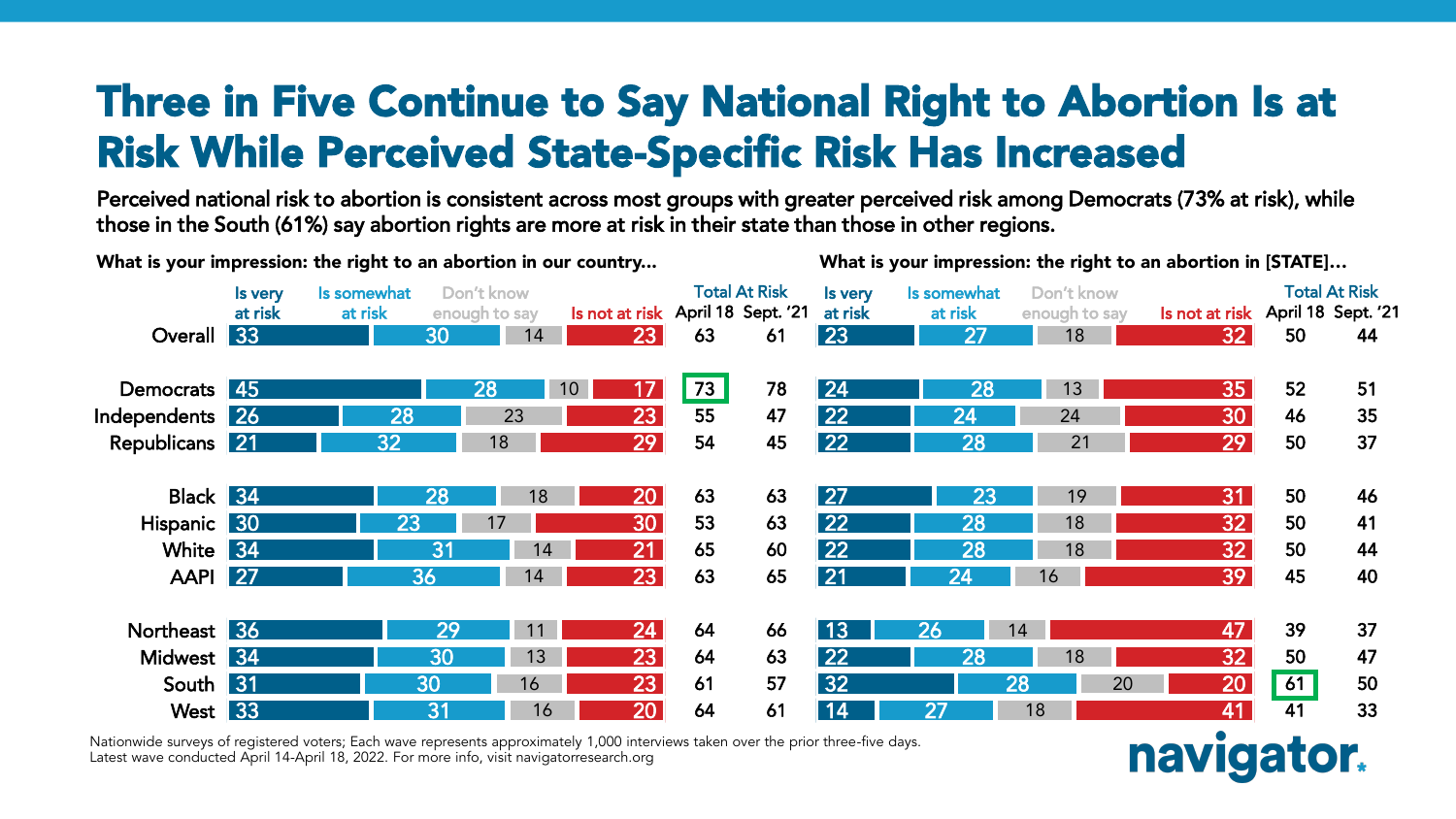## Three in Five Continue to Say National Right to Abortion Is at Risk While Perceived State-Specific Risk Has Increased

Perceived national risk to abortion is consistent across most groups with greater perceived risk among Democrats (73% at risk), while those in the South (61%) say abortion rights are more at risk in their state than those in other regions.

| What is your impression: the right to an abortion in our country |                    |                        |                             |                                   |                      | What is your impression: the right to an abortion in [STATE] |                    |                        |                             |                                   |    |                      |  |
|------------------------------------------------------------------|--------------------|------------------------|-----------------------------|-----------------------------------|----------------------|--------------------------------------------------------------|--------------------|------------------------|-----------------------------|-----------------------------------|----|----------------------|--|
|                                                                  | Is very<br>at risk | Is somewhat<br>at risk | Don't know<br>enough to say | Is not at risk April 18 Sept. '21 | <b>Total At Risk</b> |                                                              | Is very<br>at risk | Is somewhat<br>at risk | Don't know<br>enough to say | Is not at risk April 18 Sept. '21 |    | <b>Total At Risk</b> |  |
| Overall                                                          | $\sqrt{33}$        |                        | 30<br>14                    | $\overline{23}$                   | 63                   | 61                                                           | 23                 | 27                     | 18                          | 32                                | 50 | 44                   |  |
| Democrats 45                                                     |                    |                        | 28                          | 10 <sup>°</sup><br>17             | 73                   | 78                                                           | 24                 | 28                     | 13                          | 35 <sub>2</sub>                   | 52 | 51                   |  |
| Independents 26                                                  |                    | 28                     | 23                          | 23                                | 55                   | 47                                                           | 22                 | 24                     | 24                          | 30                                | 46 | 35                   |  |
| Republicans 21                                                   |                    | 32                     | 18                          | 29                                | 54                   | 45                                                           | 22                 | 28                     | 21                          | 29                                | 50 | 37                   |  |
| Black 34                                                         |                    |                        | 28<br>18                    | 20                                | 63                   | 63                                                           | $\overline{27}$    | 23                     | 19                          | 31                                | 50 | 46                   |  |
| Hispanic 30                                                      |                    | 23                     | 17                          | 30                                | 53                   | 63                                                           | 22                 | 28                     | 18                          | 32 <sub>1</sub>                   | 50 | 41                   |  |
| White                                                            | 34                 |                        | 31<br>14                    | 21                                | 65                   | 60                                                           | 22                 | 28                     | 18                          | 32 <sub>2</sub>                   | 50 | 44                   |  |
| <b>AAPI</b>                                                      | 27                 |                        | 36<br>14                    | 23                                | 63                   | 65                                                           | 21                 | 24                     | 16                          | 39                                | 45 | 40                   |  |
| Northeast 36                                                     |                    |                        | 29<br>11                    | 24                                | 64                   | 66                                                           | 13                 | 26                     | 14                          | 47                                | 39 | 37                   |  |
| Midwest 34                                                       |                    |                        | 30<br>13                    | 23                                | 64                   | 63                                                           | 22                 | 28                     | 18                          | 32                                | 50 | 47                   |  |
| South 31                                                         |                    |                        | 30<br>16                    | 23                                | 61                   | 57                                                           | 32                 |                        | 28<br>20                    | 20                                | 61 | 50                   |  |
| West 33                                                          |                    |                        | 31<br>16                    | 20                                | 64                   | 61                                                           | 14                 | 27                     | 18                          | 41                                | 41 | 33                   |  |

navigator.

Nationwide surveys of registered voters; Each wave represents approximately 1,000 interviews taken over the prior three-five days. Latest wave conducted April 14-April 18, 2022. For more info, visit navigatorresearch.org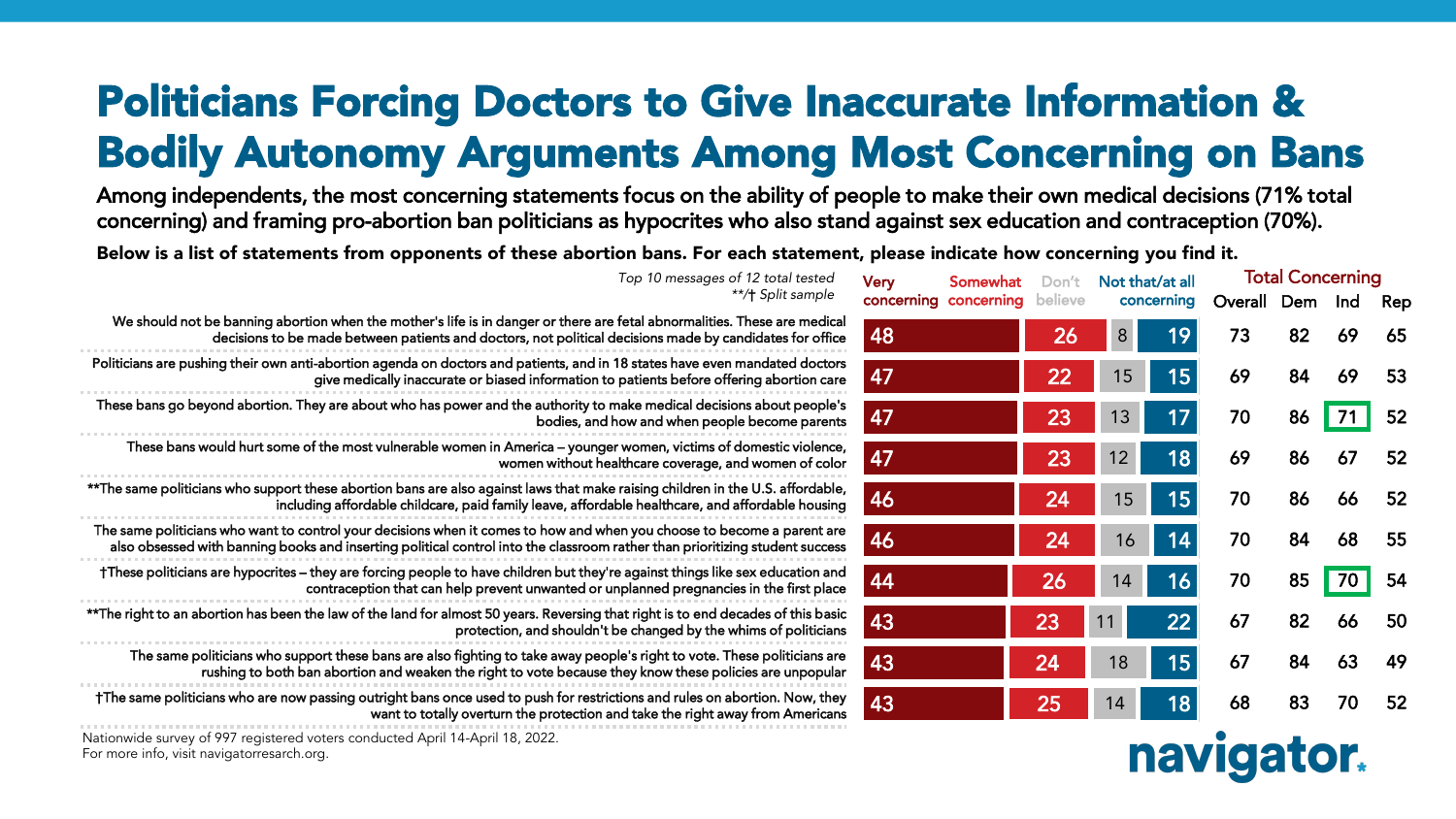## Politicians Forcing Doctors to Give Inaccurate Information & Bodily Autonomy Arguments Among Most Concerning on Bans

Among independents, the most concerning statements focus on the ability of people to make their own medical decisions (71% total concerning) and framing pro-abortion ban politicians as hypocrites who also stand against sex education and contraception (70%).

Below is a list of statements from opponents of these abortion bans. For each statement, please indicate how concerning you find it.

| Top 10 messages of 12 total tested                                                                                                                                                                                                                      | <b>Very</b><br>Somewhat | Don't           | Not that/at all |            | <b>Total Concerning</b> |     |     |     |
|---------------------------------------------------------------------------------------------------------------------------------------------------------------------------------------------------------------------------------------------------------|-------------------------|-----------------|-----------------|------------|-------------------------|-----|-----|-----|
| **/† Split sample                                                                                                                                                                                                                                       | concerning concerning   | believe         |                 | concerning | Overall                 | Dem | Ind | Rep |
| We should not be banning abortion when the mother's life is in danger or there are fetal abnormalities. These are medical<br>decisions to be made between patients and doctors, not political decisions made by candidates for office                   | 48                      | 26              | 8 <sup>°</sup>  | 19         | 73                      | 82  | 69  | 65  |
| Politicians are pushing their own anti-abortion agenda on doctors and patients, and in 18 states have even mandated doctors<br>give medically inaccurate or biased information to patients before offering abortion care                                | 47                      | 22              | 15              | 15         | 69                      | 84  | 69  | 53  |
| These bans go beyond abortion. They are about who has power and the authority to make medical decisions about people's<br>bodies, and how and when people become parents                                                                                | 47                      | 23              | 13              | 17         | 70                      | 86  | 71  | 52  |
| These bans would hurt some of the most vulnerable women in America - younger women, victims of domestic violence,<br>women without healthcare coverage, and women of color                                                                              | 47                      | 23              | 12 <sup>2</sup> | 18         | 69                      | 86  | 67  | 52  |
| ** The same politicians who support these abortion bans are also against laws that make raising children in the U.S. affordable,<br>including affordable childcare, paid family leave, affordable healthcare, and affordable housing                    | 46                      | 24              | 15              | 15         | 70                      | 86  | 66  | -52 |
| The same politicians who want to control your decisions when it comes to how and when you choose to become a parent are<br>also obsessed with banning books and inserting political control into the classroom rather than prioritizing student success | 46                      | 24 <sub>1</sub> | 16              | 14         | 70                      | 84  | 68  | -55 |
| †These politicians are hypocrites – they are forcing people to have children but they're against things like sex education and<br>contraception that can help prevent unwanted or unplanned pregnancies in the first place                              | 44                      | <b>26</b>       | 14              | 16         | 70                      | 85  | 70  | 54  |
| **The right to an abortion has been the law of the land for almost 50 years. Reversing that right is to end decades of this basic<br>protection, and shouldn't be changed by the whims of politicians                                                   | 43                      | 23              | 11              | 22         | 67                      | 82  | 66  | -50 |
| The same politicians who support these bans are also fighting to take away people's right to vote. These politicians are<br>rushing to both ban abortion and weaken the right to vote because they know these policies are unpopular                    | 43                      | 24              | 18              | 15         | 67                      | 84  | 63  | 49  |
| †The same politicians who are now passing outright bans once used to push for restrictions and rules on abortion. Now, they<br>want to totally overturn the protection and take the right away from Americans                                           | 43                      | 25              | 14              | 18         | 68                      | 83  | 70  | 52  |
| Nationwide survey of 997 registered voters conducted April 14-April 18, 2022.<br>For more info wisit navioatorresarch ora                                                                                                                               | <b>WALFI</b>            |                 |                 |            |                         |     |     |     |

**Haviya** 

For more info, visit navigatorresarch.org.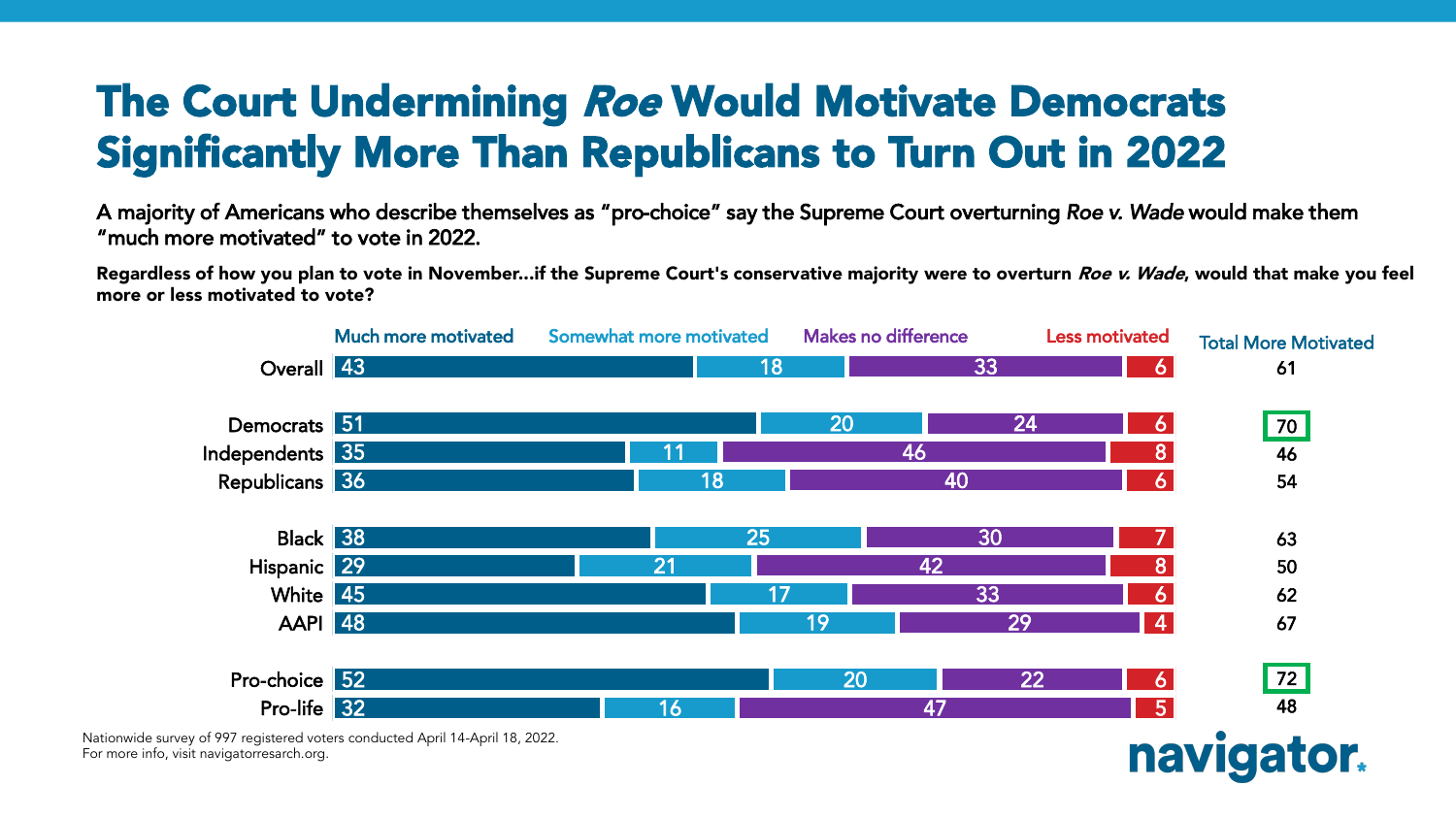## The Court Undermining Roe Would Motivate Democrats Significantly More Than Republicans to Turn Out in 2022

A majority of Americans who describe themselves as "pro-choice" say the Supreme Court overturning *Roe v. Wade* would make them "much more motivated" to vote in 2022.

Regardless of how you plan to vote in November...if the Supreme Court's conservative majority were to overturn *Roe v. Wade*, would that make you feel more or less motivated to vote?